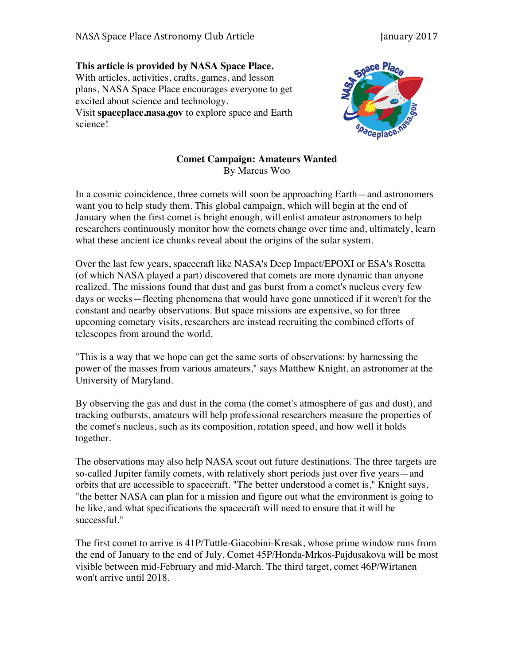## **This article is provided by NASA Space Place.** With articles, activities, crafts, games, and lesson plans, NASA Space Place encourages everyone to get

excited about science and technology. Visit **spaceplace.nasa.gov** to explore space and Earth science!



## **Comet Campaign: Amateurs Wanted** By Marcus Woo

In a cosmic coincidence, three comets will soon be approaching Earth—and astronomers want you to help study them. This global campaign, which will begin at the end of January when the first comet is bright enough, will enlist amateur astronomers to help researchers continuously monitor how the comets change over time and, ultimately, learn what these ancient ice chunks reveal about the origins of the solar system.

Over the last few years, spacecraft like NASA's Deep Impact/EPOXI or ESA's Rosetta (of which NASA played a part) discovered that comets are more dynamic than anyone realized. The missions found that dust and gas burst from a comet's nucleus every few days or weeks—fleeting phenomena that would have gone unnoticed if it weren't for the constant and nearby observations. But space missions are expensive, so for three upcoming cometary visits, researchers are instead recruiting the combined efforts of telescopes from around the world.

"This is a way that we hope can get the same sorts of observations: by harnessing the power of the masses from various amateurs," says Matthew Knight, an astronomer at the University of Maryland.

By observing the gas and dust in the coma (the comet's atmosphere of gas and dust), and tracking outbursts, amateurs will help professional researchers measure the properties of the comet's nucleus, such as its composition, rotation speed, and how well it holds together.

The observations may also help NASA scout out future destinations. The three targets are so-called Jupiter family comets, with relatively short periods just over five years—and orbits that are accessible to spacecraft. "The better understood a comet is," Knight says, "the better NASA can plan for a mission and figure out what the environment is going to be like, and what specifications the spacecraft will need to ensure that it will be successful."

The first comet to arrive is 41P/Tuttle-Giacobini-Kresak, whose prime window runs from the end of January to the end of July. Comet 45P/Honda-Mrkos-Pajdusakova will be most visible between mid-February and mid-March. The third target, comet 46P/Wirtanen won't arrive until 2018.